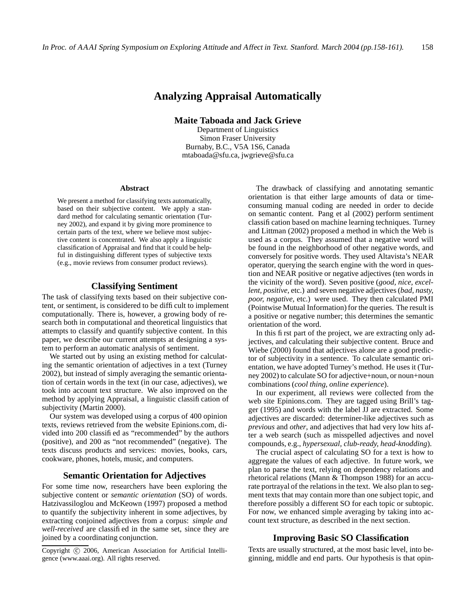# **Analyzing Appraisal Automatically**

**Maite Taboada and Jack Grieve**

Department of Linguistics Simon Fraser University Burnaby, B.C., V5A 1S6, Canada mtaboada@sfu.ca, jwgrieve@sfu.ca

#### **Abstract**

We present a method for classifying texts automatically, based on their subjective content. We apply a standard method for calculating semantic orientation (Turney 2002), and expand it by giving more prominence to certain parts of the text, where we believe most subjective content is concentrated. We also apply a linguistic classification of Appraisal and find that it could be helpful in distinguishing different types of subjective texts (e.g., movie reviews from consumer product reviews).

## **Classifying Sentiment**

The task of classifying texts based on their subjective content, or sentiment, is considered to be difficult to implement computationally. There is, however, a growing body of research both in computational and theoretical linguistics that attempts to classify and quantify subjective content. In this paper, we describe our current attempts at designing a system to perform an automatic analysis of sentiment.

We started out by using an existing method for calculating the semantic orientation of adjectives in a text (Turney 2002), but instead of simply averaging the semantic orientation of certain words in the text (in our case, adjectives), we took into account text structure. We also improved on the method by applying Appraisal, a linguistic classification of subjectivity (Martin 2000).

Our system was developed using a corpus of 400 opinion texts, reviews retrieved from the website Epinions.com, divided into 200 classified as "recommended" by the authors (positive), and 200 as "not recommended" (negative). The texts discuss products and services: movies, books, cars, cookware, phones, hotels, music, and computers.

#### **Semantic Orientation for Adjectives**

For some time now, researchers have been exploring the subjective content or *semantic orientation* (SO) of words. Hatzivassiloglou and McKeown (1997) proposed a method to quantify the subjectivity inherent in some adjectives, by extracting conjoined adjectives from a corpus: *simple and well-received* are classified in the same set, since they are joined by a coordinating conjunction.

The drawback of classifying and annotating semantic orientation is that either large amounts of data or timeconsuming manual coding are needed in order to decide on semantic content. Pang et al (2002) perform sentiment classification based on machine learning techniques. Turney and Littman (2002) proposed a method in which the Web is used as a corpus. They assumed that a negative word will be found in the neighborhood of other negative words, and conversely for positive words. They used Altavista's NEAR operator, querying the search engine with the word in question and NEAR positive or negative adjectives (ten words in the vicinity of the word). Seven positive (*good, nice, excellent, positive,* etc.) and seven negative adjectives(*bad, nasty, poor, negative,* etc.) were used. They then calculated PMI (Pointwise Mutual Information) for the queries. The result is a positive or negative number; this determines the semantic orientation of the word.

In this first part of the project, we are extracting only adjectives, and calculating their subjective content. Bruce and Wiebe (2000) found that adjectives alone are a good predictor of subjectivity in a sentence. To calculate semantic orientation, we have adopted Turney's method. He uses it (Turney 2002) to calculate SO for adjective+noun, or noun+noun combinations (*cool thing, online experience*).

In our experiment, all reviews were collected from the web site Epinions.com. They are tagged using Brill's tagger (1995) and words with the label JJ are extracted. Some adjectives are discarded: determiner-like adjectives such as *previous* and *other*, and adjectives that had very low hits after a web search (such as misspelled adjectives and novel compounds, e.g., *hypersexual, club-ready, head-knodding*).

The crucial aspect of calculating SO for a text is how to aggregate the values of each adjective. In future work, we plan to parse the text, relying on dependency relations and rhetorical relations (Mann & Thompson 1988) for an accurate portrayal of the relations in the text. We also plan to segment texts that may contain more than one subject topic, and therefore possibly a different SO for each topic or subtopic. For now, we enhanced simple averaging by taking into account text structure, as described in the next section.

## **Improving Basic SO Classification**

Texts are usually structured, at the most basic level, into beginning, middle and end parts. Our hypothesis is that opin-

Copyright © 2006, American Association for Artificial Intelligence (www.aaai.org). All rights reserved.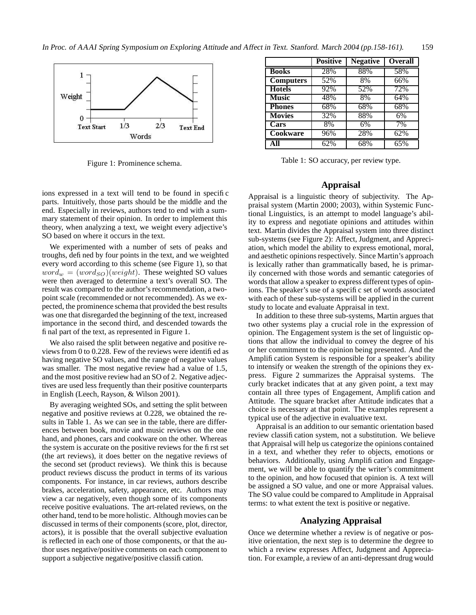

Figure 1: Prominence schema.

ions expressed in a text will tend to be found in specific parts. Intuitively, those parts should be the middle and the end. Especially in reviews, authors tend to end with a summary statement of their opinion. In order to implement this theory, when analyzing a text, we weight every adjective's SO based on where it occurs in the text.

We experimented with a number of sets of peaks and troughs, defined by four points in the text, and we weighted every word according to this scheme (see Figure 1), so that  $word_w = (word_{SO})(weight)$ . These weighted SO values were then averaged to determine a text's overall SO. The result was compared to the author's recommendation, a twopoint scale (recommended or not recommended). As we expected, the prominence schema that provided the best results was one that disregarded the beginning of the text, increased importance in the second third, and descended towards the final part of the text, as represented in Figure 1.

We also raised the split between negative and positive reviews from 0 to 0.228. Few of the reviews were identified as having negative SO values, and the range of negative values was smaller. The most negative review had a value of 1.5, and the most positive review had an SO of 2. Negative adjectives are used less frequently than their positive counterparts in English (Leech, Rayson, & Wilson 2001).

By averaging weighted SOs, and setting the split between negative and positive reviews at 0.228, we obtained the results in Table 1. As we can see in the table, there are differences between book, movie and music reviews on the one hand, and phones, cars and cookware on the other. Whereas the system is accurate on the positive reviews for the first set (the art reviews), it does better on the negative reviews of the second set (product reviews). We think this is because product reviews discuss the product in terms of its various components. For instance, in car reviews, authors describe brakes, acceleration, safety, appearance, etc. Authors may view a car negatively, even though some of its components receive positive evaluations. The art-related reviews, on the other hand, tend to be more holistic. Although movies can be discussed in terms of their components (score, plot, director, actors), it is possible that the overall subjective evaluation is reflected in each one of those components, or that the author uses negative/positive comments on each component to support a subjective negative/positive classification.

|                  | <b>Positive</b> | <b>Negative</b> | <b>Overall</b>   |
|------------------|-----------------|-----------------|------------------|
| <b>Books</b>     | 28%             | 88%             | 58%              |
| <b>Computers</b> | 52%             | 8%              | 66%              |
| <b>Hotels</b>    | 92%             | 52%             | 72%              |
| <b>Music</b>     | 48%             | 8%              | 64%              |
| <b>Phones</b>    | 68%             | 68%             | 68%              |
| <b>Movies</b>    | 32%             | 88%             | 6%               |
| <b>Cars</b>      | 8%              | 6%              | $\overline{7}\%$ |
| Cookware         | 96%             | 28%             | 62%              |
| All              | 62%             | 68%             | 65%              |

Table 1: SO accuracy, per review type.

## **Appraisal**

Appraisal is a linguistic theory of subjectivity. The Appraisal system (Martin 2000; 2003), within Systemic Functional Linguistics, is an attempt to model language's ability to express and negotiate opinions and attitudes within text. Martin divides the Appraisal system into three distinct sub-systems (see Figure 2): Affect, Judgment, and Appreciation, which model the ability to express emotional, moral, and aesthetic opinions respectively. Since Martin's approach is lexically rather than grammatically based, he is primarily concerned with those words and semantic categories of words that allow a speaker to express different types of opinions. The speaker's use of a specific set of words associated with each of these sub-systems will be applied in the current study to locate and evaluate Appraisal in text.

In addition to these three sub-systems, Martin argues that two other systems play a crucial role in the expression of opinion. The Engagement system is the set of linguistic options that allow the individual to convey the degree of his or her commitment to the opinion being presented. And the Amplification System is responsible for a speaker's ability to intensify or weaken the strength of the opinions they express. Figure 2 summarizes the Appraisal systems. The curly bracket indicates that at any given point, a text may contain all three types of Engagement, Amplification and Attitude. The square bracket after Attitude indicates that a choice is necessary at that point. The examples represent a typical use of the adjective in evaluative text.

Appraisal is an addition to our semantic orientation based review classification system, not a substitution. We believe that Appraisal will help us categorize the opinions contained in a text, and whether they refer to objects, emotions or behaviors. Additionally, using Amplification and Engagement, we will be able to quantify the writer's commitment to the opinion, and how focused that opinion is. A text will be assigned a SO value, and one or more Appraisal values. The SO value could be compared to Amplitude in Appraisal terms: to what extent the text is positive or negative.

## **Analyzing Appraisal**

Once we determine whether a review is of negative or positive orientation, the next step is to determine the degree to which a review expresses Affect, Judgment and Appreciation. For example, a review of an anti-depressant drug would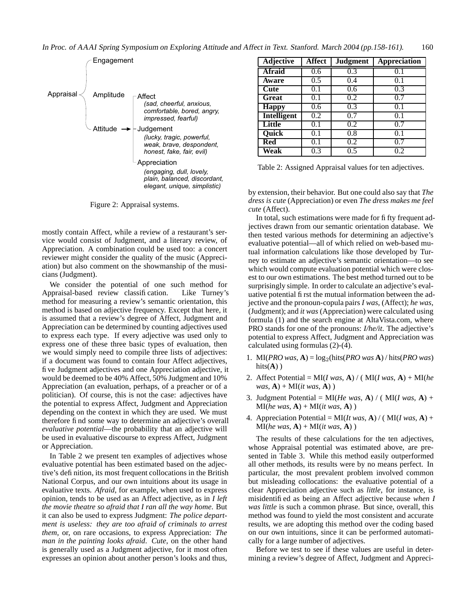In Proc. of AAAI Spring Symposium on Exploring Attitude and Affect in Text. Stanford. March <sup>2004</sup> (pp.158-161). 160



Figure 2: Appraisal systems.

mostly contain Affect, while a review of a restaurant's service would consist of Judgment, and a literary review, of Appreciation. A combination could be used too: a concert reviewer might consider the quality of the music (Appreciation) but also comment on the showmanship of the musicians (Judgment).

We consider the potential of one such method for Appraisal-based review classification. Like Turney's method for measuring a review's semantic orientation, this method is based on adjective frequency. Except that here, it is assumed that a review's degree of Affect, Judgment and Appreciation can be determined by counting adjectives used to express each type. If every adjective was used only to express one of these three basic types of evaluation, then we would simply need to compile three lists of adjectives: if a document was found to contain four Affect adjectives, five Judgment adjectives and one Appreciation adjective, it would be deemed to be 40% Affect, 50% Judgment and 10% Appreciation (an evaluation, perhaps, of a preacher or of a politician). Of course, this is not the case: adjectives have the potential to express Affect, Judgment and Appreciation depending on the context in which they are used. We must therefore find some way to determine an adjective's overall *evaluative potential*—the probability that an adjective will be used in evaluative discourse to express Affect, Judgment or Appreciation.

In Table 2 we present ten examples of adjectives whose evaluative potential has been estimated based on the adjective's definition, its most frequent collocations in the British National Corpus, and our own intuitions about its usage in evaluative texts. *Afraid*, for example, when used to express opinion, tends to be used as an Affect adjective, as in *I left the movie theatre so afraid that I ran all the way home*. But it can also be used to express Judgment: *The police department is useless: they are too afraid of criminals to arrest them*, or, on rare occasions, to express Appreciation: *The man in the painting looks afraid*. *Cute*, on the other hand is generally used as a Judgment adjective, for it most often expresses an opinion about another person's looks and thus,

| <b>Adjective</b>   | <b>Affect</b> | <b>Judgment</b> | <b>Appreciation</b> |
|--------------------|---------------|-----------------|---------------------|
| <b>Afraid</b>      | 0.6           | 0.3             | 0.1                 |
| Aware              | 0.5           | 0.4             | 0.1                 |
| Cute               | 0.1           | 0.6             | 0.3                 |
| Great              | 0.1           | 0.2             | 0.7                 |
| <b>Happy</b>       | 0.6           | 0.3             | 0.1                 |
| <b>Intelligent</b> | 0.2           | 0.7             | 0.1                 |
| Little             | 0.1           | 0.2             | 0.7                 |
| <b>Quick</b>       | 0.1           | 0.8             | 0.1                 |
| Red                | 0.1           | 0.2             | 0.7                 |
| Weak               | 0.3           | 0.5             | 0.2                 |

Table 2: Assigned Appraisal values for ten adjectives.

by extension, their behavior. But one could also say that *The dress is cute* (Appreciation) or even *The dress makes me feel cute* (Affect).

In total, such estimations were made for fifty frequent adjectives drawn from our semantic orientation database. We then tested various methods for determining an adjective's evaluative potential—all of which relied on web-based mutual information calculations like those developed by Turney to estimate an adjective's semantic orientation—to see which would compute evaluation potential which were closest to our own estimations. The best method turned out to be surprisingly simple. In order to calculate an adjective's evaluative potential first the mutual information between the adjective and the pronoun-copula pairs *I was*, (Affect); *he was*, (Judgment); and *it was* (Appreciation) were calculated using formula (1) and the search engine at AltaVista.com, where PRO stands for one of the pronouns: *I/he/it*. The adjective's potential to express Affect, Judgment and Appreciation was calculated using formulas (2)-(4).

- 1. MI( $PRO$  *was*,  $\mathbf{A}$ ) = log<sub>2</sub>(hits(*PRO was*  $\mathbf{A}$ ) / hits(*PRO was*)  $hits(A))$
- 2. Affect Potential = MI(*I was*, **A**) / ( MI(*I was*, **A**) + MI(*he was*, **A**) + MI(*it was*, **A**) )
- 3. Judgment Potential =  $MI(He was, A) / (MI(Imas, A) +$  $MI(he was, A) + MI(it was, A)$
- 4. Appreciation Potential =  $MI(It was, A) / (MI(It was, A) +$  $MI(he was, A) + MI(it was, A)$

The results of these calculations for the ten adjectives, whose Appraisal potential was estimated above, are presented in Table 3. While this method easily outperformed all other methods, its results were by no means perfect. In particular, the most prevalent problem involved common but misleading collocations: the evaluative potential of a clear Appreciation adjective such as *little*, for instance, is misidentified as being an Affect adjective because *when I was little* is such a common phrase. But since, overall, this method was found to yield the most consistent and accurate results, we are adopting this method over the coding based on our own intuitions, since it can be performed automatically for a large number of adjectives.

Before we test to see if these values are useful in determining a review's degree of Affect, Judgment and Appreci-